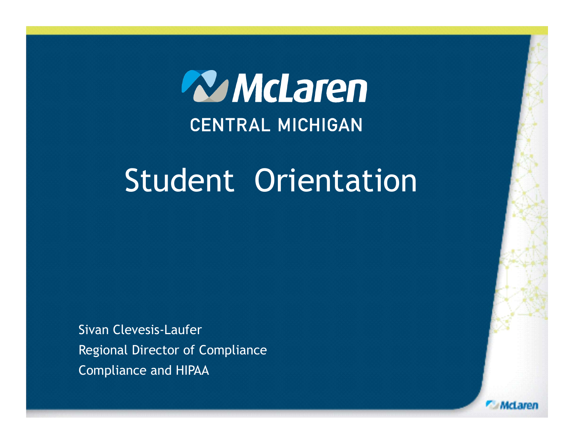

# Student Orientation

Sivan Clevesis-Laufer Regional Director of Compliance Compliance and HIPAA

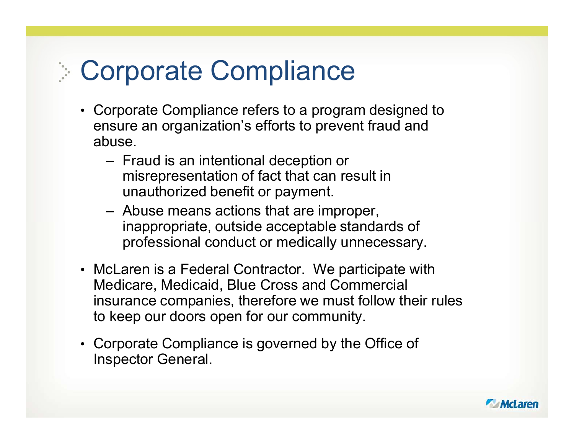# Corporate Compliance

- Corporate Compliance refers to a program designed to ensure an organization's efforts to prevent fraud and abuse. **Orporate Compliance**<br>
Supporate Compliance refers to a program designe<br>
Insure an organization's efforts to prevent fraud an<br>
Duse.<br>
- Fraud is an intentional deception or<br>
misrepresentation of fact that can result in<br>
un orporate Compliance<br>
orporate Compliance refers to a program designed to<br>
nsure an organization's efforts to prevent fraud and<br>
ouse.<br>
- Fraud is an intentional deception or<br>
misrepresentation of fact that can result in<br>
u
	- misrepresentation of fact that can result in unauthorized benefit or payment.
	- inappropriate, outside acceptable standards of professional conduct or medically unnecessary.
- McLaren is a Federal Contractor. We participate with Medicare, Medicaid, Blue Cross and Commercial insurance companies, therefore we must follow their rules to keep our doors open for our community.
- Corporate Compliance is governed by the Office of Inspector General.

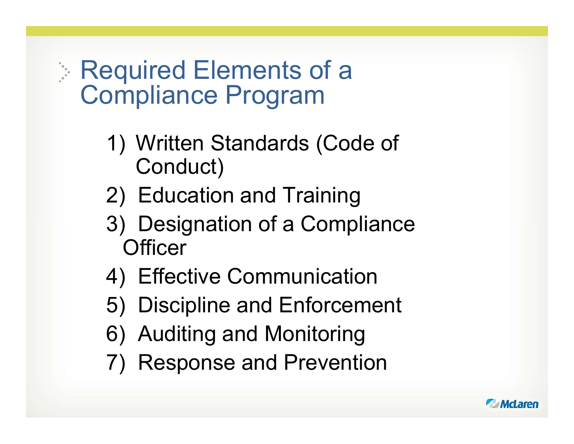### Required Elements of a Compliance Program

- Explored Elements of a<br>
1) Written Standards (Code of<br>
2) Education and Training Conduct) Exercised Elements of a<br>Exploribion and Training<br>1) Written Standards (Code of<br>2) Education and Training<br>3) Designation of a Compliance
- 
- Explored Elements of a<br>
1) Mritten Standards (Code of<br>
2) Education and Training<br>
3) Designation of a Compliance<br>
Officer<br>
4) Effective Compunication **Officer** Mandale Program<br>
1) Written Standards (Code of<br>
2) Education and Training<br>
3) Designation of a Compliance<br>
Officer<br>
4) Effective Communication<br>
5) Discipline and Enforcement 1) Written Standards (Code of<br>
2) Education and Training<br>
3) Designation of a Compliance<br>
Officer<br>
4) Effective Communication<br>
5) Discipline and Enforcement<br>
6) Auditing and Monitoring France (Seas St.<br>
Conduct)<br>
2) Education and Training<br>
3) Designation of a Compliance<br>
Officer<br>
4) Effective Communication<br>
5) Discipline and Enforcement<br>
6) Auditing and Monitoring<br>
7) Response and Prevention 2) Education and Training<br>3) Designation of a Compliar<br>Officer<br>4) Effective Communication<br>5) Discipline and Enforcemer<br>6) Auditing and Monitoring<br>7) Response and Prevention
- 
- 
- 
- 

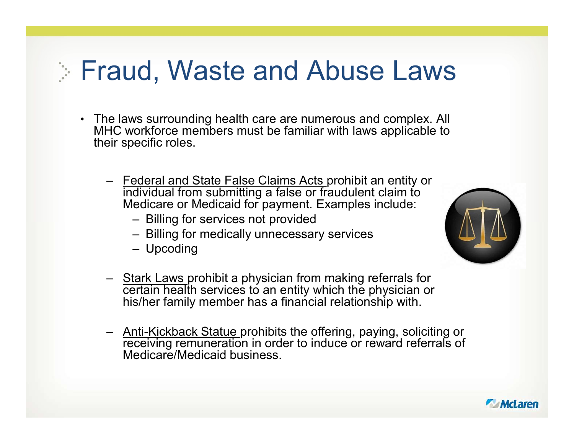# Fraud, Waste and Abuse Laws

- The laws surrounding health care are numerous and complex. All MHC workforce members must be familiar with laws applicable to their specific roles. and, Waste and Abuse Laws<br>
Fe laws surrounding health care are numerous and complex. All<br>
HC workforce members must be familiar with laws applicable to<br>
Federal and State False Claims Acts prohibit an entity or<br>
Federal an Id, Waste and Abuse Law<br>
ws surrounding health care are numerous and complex. A<br>
corkforce members must be familiar with laws applicable t<br>
ecific roles.<br>
ederal and State False Claims Acts prohibit an entity or<br>
dividual 1 **CHANG THE STANG ANTICE CONTROVIDED AND AND AND SUSPEND AND NOT SURVEY A SURVEY CONTROVIDED AND AND AND AND AND AND AND A SURVEY CHANGED AND A SURVEY CHANGED AND A SURVEY CHANGED A SURVEY CHANGED AND A SURVEY CHANGED AND** Id, Waste and Abuse<br>ws surrounding health care are numerous and<br>corkforce members must be familiar with laws a<br>ecific roles.<br>ederal and State False Claims Acts prohibit an<br>dividual from submitting a false or fraudulent c<br>e Frank Laws surrounding health care are numerous and complex. All<br>
HC workforce members must be familiar with laws applicable to<br>
beir specific roles.<br>
- Federal and State False Claims Acts prohibit an entity or<br>
individual
	- individual from submitting a false or fraudulent claim to Medicare or Medicaid for payment. Examples include:
		-
		-
		-
	- certain health services to an entity which the physician or his/her family member has a financial relationship with.
	- Frame Theorem and State False Claims Acts prohibit an entity or<br>
	Individual from submitting a false or fraudulent claim to<br>
	Medicare or Medicaid for payment. Examples include:<br>
	 Billing for medically unnecessary services<br> receiving remuneration in order to induce or reward referrals of Medicare/Medicaid business.



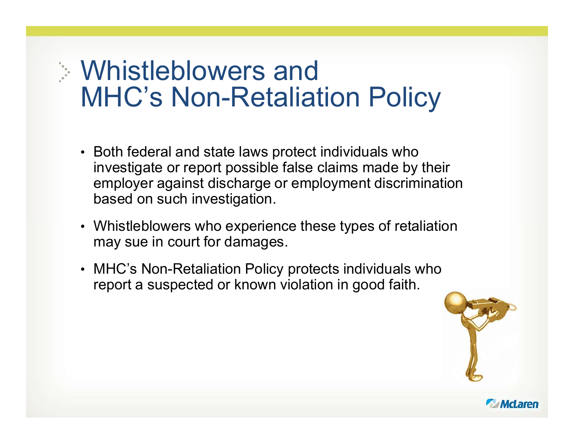# Whistleblowers and MHC's Non-Retaliation Policy

- Both federal and state laws protect individuals who investigate or report possible false claims made by their employer against discharge or employment discrimination based on such investigation.
- Whistleblowers who experience these types of retaliation may sue in court for damages.
- MHC's Non-Retaliation Policy protects individuals who report a suspected or known violation in good faith.



McLaren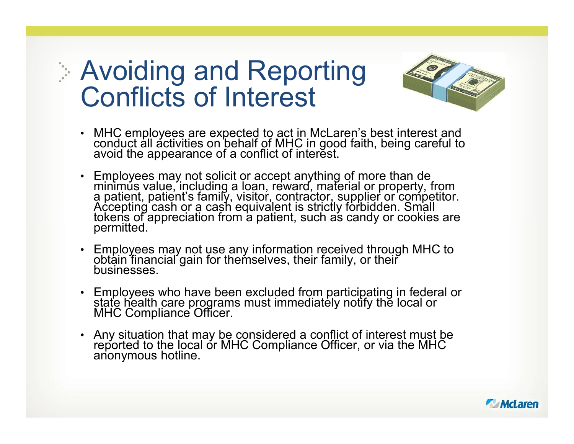# Avoiding and Reporting Conflicts of Interest



- MHC employees are expected to act in McLaren's best interest and conduct all activities on behalf of MHC in good faith, being careful to avoid the appearance of a conflict of interest.
- Avoiding and Reporting<br>
Conflicts of Interest<br>
WHC employees are expected to act in McLaren's best interest and<br>
conduct all activities on behalf of MHC in good faith, being careful to<br>
avoid the appearance of a conflict o
- Employees may not use any information received through MHC to obtain financial gain for themselves, their family, or their businesses.
- Employees who have been excluded from participating in federal or state health care programs must immediately notify the local or MHC Compliance Officer.
- Any situation that may be considered a conflict of interest must be reported to the local or MHC Compliance Officer, or via the MHC anonymous hotline.

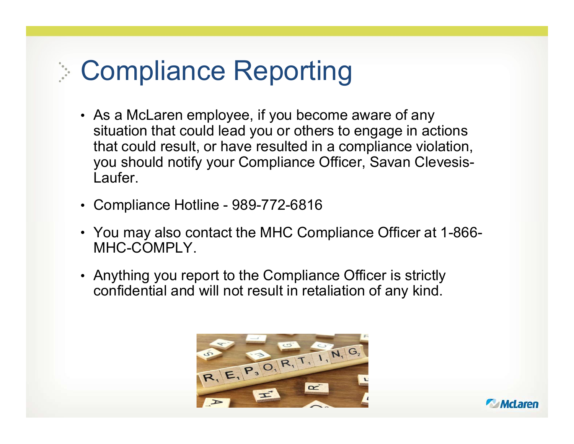# Compliance Reporting

- As a McLaren employee, if you become aware of any situation that could lead you or others to engage in actions that could result, or have resulted in a compliance violation, you should notify your Compliance Officer, Savan Clevesis-Compliance Reporting<br>As a McLaren employee, if you become aware of any<br>situation that could lead you or others to engage in actions<br>that could result, or have resulted in a compliance violation,<br>you should notify your Comp Laufer. **Compliance Reporting<br>• As a McLaren employee, if you become aware of any<br>• istuation that could lead you or others to engage in actions<br>• that could result, or have resulted in a compliance violation<br>• you should notify y**
- 
- You may also contact the MHC Compliance Officer at 1-866- MHC-COMPLY.
- Anything you report to the Compliance Officer is strictly confidential and will not result in retaliation of any kind.



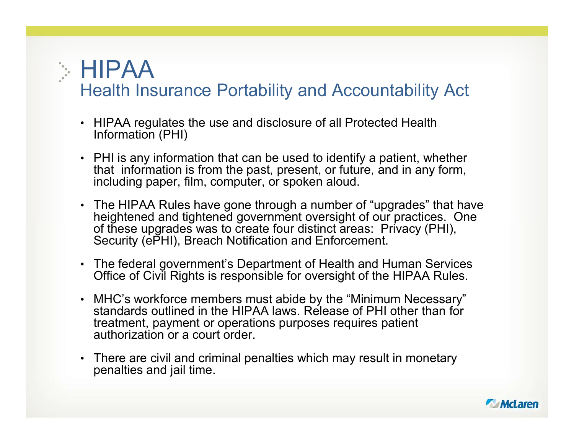#### **HIPAA** Health Insurance Portability and Accountability Act

- HIPAA regulates the use and disclosure of all Protected Health Information (PHI)
- PHI is any information that can be used to identify a patient, whether that information is from the past, present, or future, and in any form, including paper, film, computer, or spoken aloud.
- The HIPAA Rules have gone through a number of "upgrades" that have heightened and tightened government oversight of our practices. One of these upgrades was to create four distinct areas: Privacy (PHI), Security (ePHI), Breach Notification and Enforcement.
- The federal government's Department of Health and Human Services Office of Civil Rights is responsible for oversight of the HIPAA Rules. • MHC's workforce members must abide by the "Minimum Necessary"
- standards outlined in the HIPAA laws. Release of PHI other than for treatment, payment or operations purposes requires patient authorization or a court order.
- There are civil and criminal penalties which may result in monetary penalties and jail time.

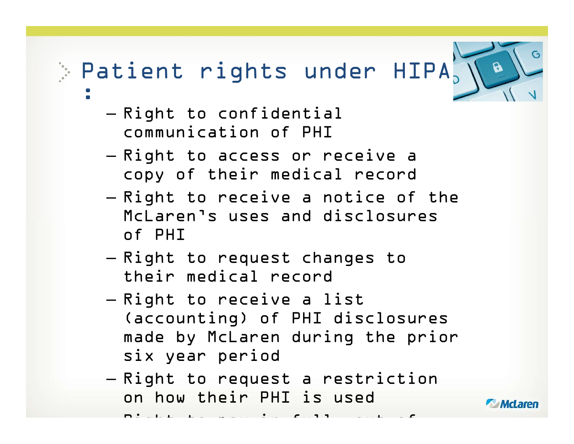#### Patient rights under  $HIPA_2 \setminus A$ :

- Right to confidential communication of PHI
- Right to access or receive a copy of their medical record
- Right to receive a notice of the McLaren's uses and disclosures of PHI
- Right to request changes to their medical record
- Right to receive a list (accounting) of PHI disclosures made by McLaren during the prior six year period
- Right to request a restriction on how their PHI is used **CAMcLaren**

 $\mathbf{P}$  , out of pay in function  $\mathbf{P}$ 

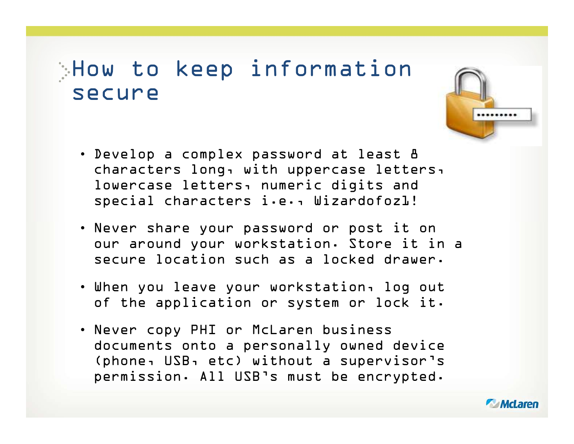#### How to keep information secure



- Never share your password or post it on our around your workstation. Store it in a secure location such as a locked drawer.
- When you leave your workstation, log out of the application or system or lock it.
- Never copy PHI or McLaren business documents onto a personally owned device (phone, USB, etc) without a supervisor's permission. All USB's must be encrypted.



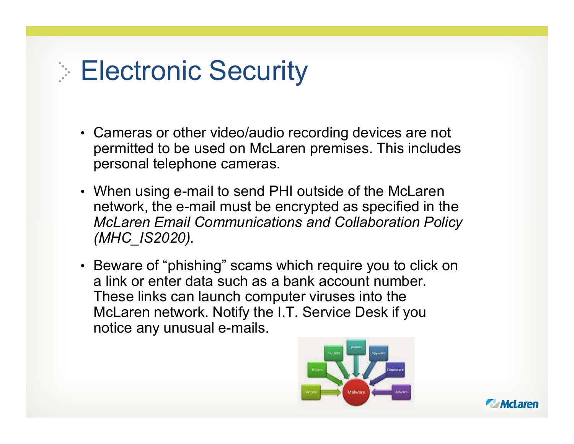# **Electronic Security**

- Cameras or other video/audio recording devices are not permitted to be used on McLaren premises. This includes personal telephone cameras.
- When using e-mail to send PHI outside of the McLaren network, the e-mail must be encrypted as specified in the McLaren Email Communications and Collaboration Policy (MHC\_IS2020).
- Beware of "phishing" scams which require you to click on a link or enter data such as a bank account number. These links can launch computer viruses into the McLaren network. Notify the I.T. Service Desk if you notice any unusual e-mails.



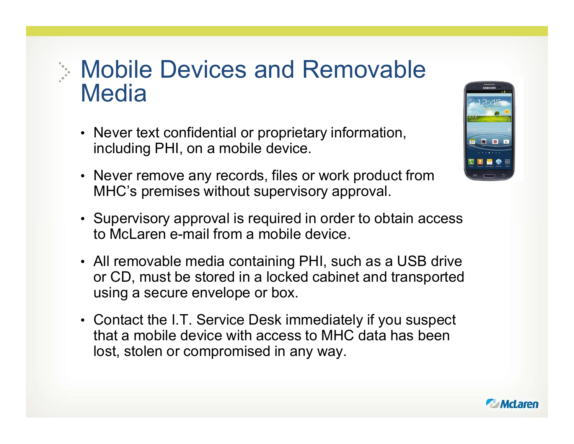#### Mobile Devices and Removable **Media**

- Never text confidential or proprietary information, including PHI, on a mobile device.
- Never remove any records, files or work product from MHC's premises without supervisory approval.
- Supervisory approval is required in order to obtain access to McLaren e-mail from a mobile device.
- All removable media containing PHI, such as a USB drive or CD, must be stored in a locked cabinet and transported using a secure envelope or box.
- Contact the I.T. Service Desk immediately if you suspect that a mobile device with access to MHC data has been lost, stolen or compromised in any way.



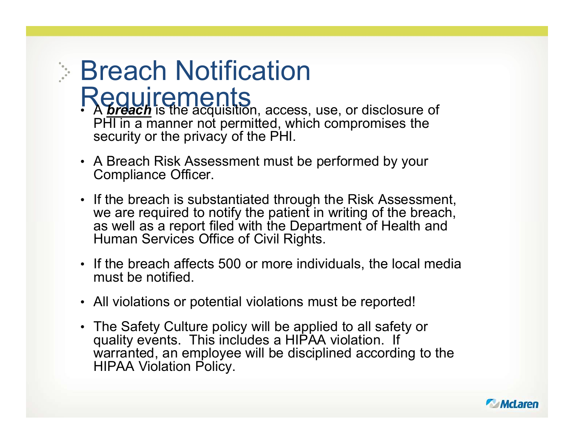# **Breach Notification**

- Requirements<br>• Abreach is the acquisition, access, use, or disclosure of PHI in a manner not permitted, which compromises the security or the privacy of the PHI.
- A Breach Risk Assessment must be performed by your
- Compliance Officer. If the breach is substantiated through the Risk Assessment, we are required to notify the patient in writing of the breach, as well as a report filed with the Department of Health and Human Services Office of Civil Rights.
- If the breach affects 500 or more individuals, the local media must be notified.
- All violations or potential violations must be reported!
- The Safety Culture policy will be applied to all safety or quality events. This includes a HIPAA violation. If warranted, an employee will be disciplined according to the HIPAA Violation Policy.

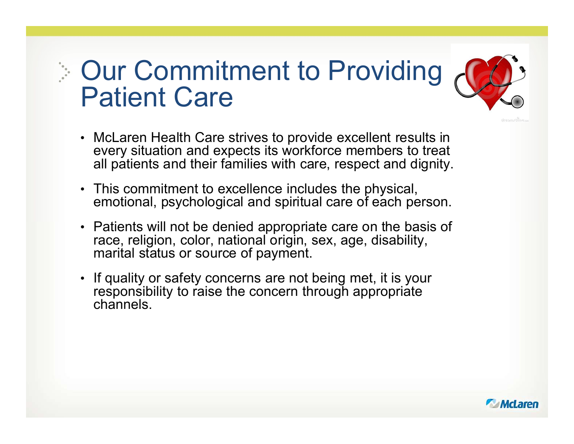# Our Commitment to Providing A Patient Care



- McLaren Health Care strives to provide excellent results in every situation and expects its workforce members to treat all patients and their families with care, respect and dignity.
- This commitment to excellence includes the physical, emotional, psychological and spiritual care of each person.
- Patients will not be denied appropriate care on the basis of race, religion, color, national origin, sex, age, disability, marital status or source of payment.
- If quality or safety concerns are not being met, it is your responsibility to raise the concern through appropriate channels.

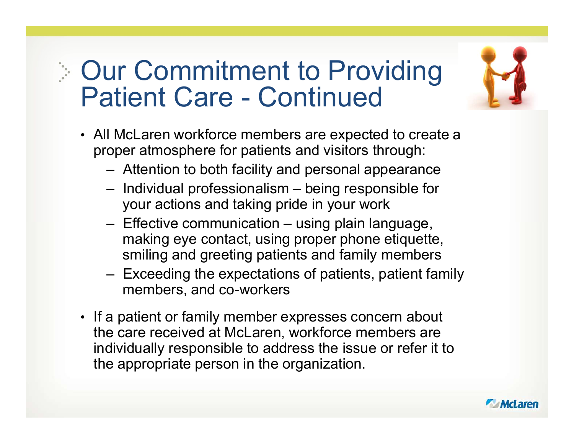# Our Commitment to Providing Our Commitment to Providing<br>Patient Care - Continued<br>All McLaren workforce members are expected to create a<br>proper stressphere for patients and visitors through: Ur Commitment to Providing<br>
atient Care - Continued<br>
I McLaren workforce members are expected to create a<br>
oper atmosphere for patients and visitors through:<br>
- Attention to both facility and personal appearance<br>
- Individ UT Commitment to Providing<br>
atient Care - Continued<br>
I McLaren workforce members are expected to create a<br>
oper atmosphere for patients and visitors through:<br>
- Attention to both facility and personal appearance<br>
- Individ Land Care – Continued<br>
Land Land Wallent Care – Continued<br>
Land Wallent Care – Continued<br>
Land Wallent Care – Continued<br>
Land Wallent Care – Continued<br>
Land Wallent Care – Attention to both facility and personal appearance

- All McLaren workforce members are expected to create a proper atmosphere for patients and visitors through:
	-
	- your actions and taking pride in your work
- making eye contact, using proper phone etiquette, smiling and greeting patients and family members Molecular Care – Continued<br>
I McLaren workforce members are expected to create a<br>
oper atmosphere for patients and visitors through:<br>
- Attention to both facility and personal appearance<br>
- Individual professionalism – bei
	- members, and co-workers
- If a patient or family member expresses concern about the care received at McLaren, workforce members are individually responsible to address the issue or refer it to the appropriate person in the organization.



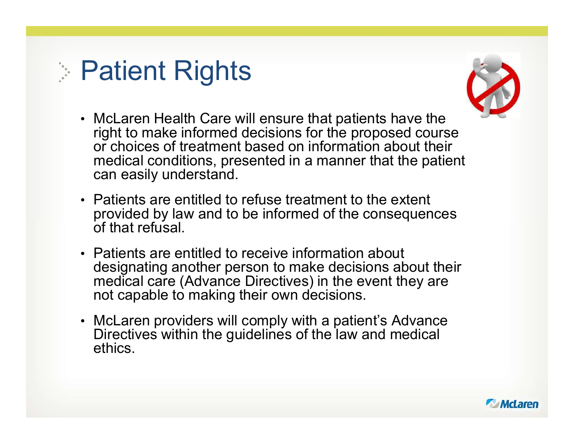# **Patient Rights**



- McLaren Health Care will ensure that patients have the right to make informed decisions for the proposed course or choices of treatment based on information about their medical conditions, presented in a manner that the patient can easily understand.
- Patients are entitled to refuse treatment to the extent provided by law and to be informed of the consequences of that refusal.
- Patients are entitled to receive information about designating another person to make decisions about their medical care (Advance Directives) in the event they are not capable to making their own decisions.
- McLaren providers will comply with a patient's Advance Directives within the guidelines of the law and medical ethics.